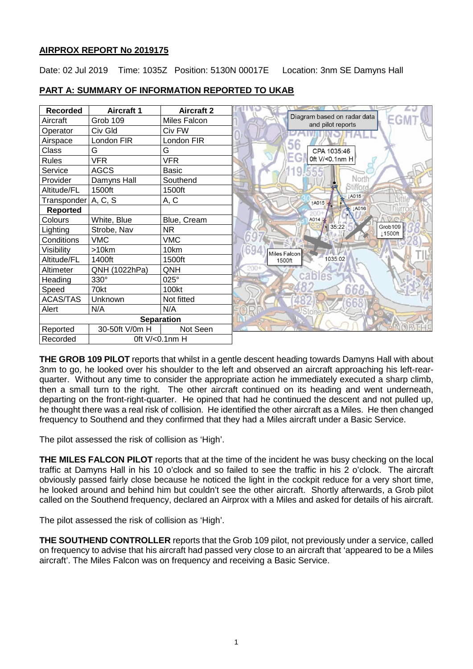## **AIRPROX REPORT No 2019175**

Date: 02 Jul 2019 Time: 1035Z Position: 5130N 00017E Location: 3nm SE Damyns Hall

| <b>Recorded</b>   | <b>Aircraft 1</b> | <b>Aircraft 2</b> |  |
|-------------------|-------------------|-------------------|--|
| Aircraft          | Grob 109          | Miles Falcon      |  |
| Operator          | Civ Gld           | Civ FW            |  |
| Airspace          | London FIR        | London FIR        |  |
| Class             | G                 | G                 |  |
| <b>Rules</b>      | <b>VFR</b>        | <b>VFR</b>        |  |
| Service           | <b>AGCS</b>       | Basic             |  |
| Provider          | Damyns Hall       | Southend          |  |
| Altitude/FL       | 1500ft            | 1500ft            |  |
| Transponder       | A, C, S           | A, C              |  |
| <b>Reported</b>   |                   |                   |  |
| Colours           | White, Blue       | Blue, Cream       |  |
| Lighting          | Strobe, Nav       | NR.               |  |
| Conditions        | <b>VMC</b>        | <b>VMC</b>        |  |
| Visibility        | >10km             | 10km              |  |
| Altitude/FL       | 1400ft            | 1500ft            |  |
| Altimeter         | QNH (1022hPa)     | QNH               |  |
| Heading           | 330°              | $025^\circ$       |  |
| Speed             | 70kt              | 100kt             |  |
| <b>ACAS/TAS</b>   | Unknown           | Not fitted        |  |
| Alert             | N/A               | N/A               |  |
| <b>Separation</b> |                   |                   |  |
| Reported          | 30-50ft V/0m H    | Not Seen          |  |
| Recorded          | 0ft V/<0.1nm H    |                   |  |

## **PART A: SUMMARY OF INFORMATION REPORTED TO UKAB**

**THE GROB 109 PILOT** reports that whilst in a gentle descent heading towards Damyns Hall with about 3nm to go, he looked over his shoulder to the left and observed an aircraft approaching his left-rearquarter. Without any time to consider the appropriate action he immediately executed a sharp climb, then a small turn to the right. The other aircraft continued on its heading and went underneath, departing on the front-right-quarter. He opined that had he continued the descent and not pulled up, he thought there was a real risk of collision. He identified the other aircraft as a Miles. He then changed frequency to Southend and they confirmed that they had a Miles aircraft under a Basic Service.

The pilot assessed the risk of collision as 'High'.

**THE MILES FALCON PILOT** reports that at the time of the incident he was busy checking on the local traffic at Damyns Hall in his 10 o'clock and so failed to see the traffic in his 2 o'clock. The aircraft obviously passed fairly close because he noticed the light in the cockpit reduce for a very short time, he looked around and behind him but couldn't see the other aircraft. Shortly afterwards, a Grob pilot called on the Southend frequency, declared an Airprox with a Miles and asked for details of his aircraft.

The pilot assessed the risk of collision as 'High'.

**THE SOUTHEND CONTROLLER** reports that the Grob 109 pilot, not previously under a service, called on frequency to advise that his aircraft had passed very close to an aircraft that 'appeared to be a Miles aircraft'. The Miles Falcon was on frequency and receiving a Basic Service.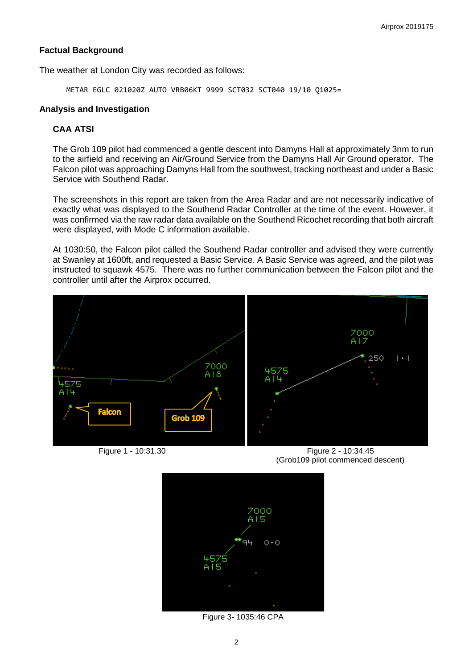#### **Factual Background**

The weather at London City was recorded as follows:

METAR EGLC 021020Z AUTO VRB06KT 9999 SCT032 SCT040 19/10 Q1025=

#### **Analysis and Investigation**

### **CAA ATSI**

The Grob 109 pilot had commenced a gentle descent into Damyns Hall at approximately 3nm to run to the airfield and receiving an Air/Ground Service from the Damyns Hall Air Ground operator. The Falcon pilot was approaching Damyns Hall from the southwest, tracking northeast and under a Basic Service with Southend Radar.

The screenshots in this report are taken from the Area Radar and are not necessarily indicative of exactly what was displayed to the Southend Radar Controller at the time of the event. However, it was confirmed via the raw radar data available on the Southend Ricochet recording that both aircraft were displayed, with Mode C information available.

At 1030:50, the Falcon pilot called the Southend Radar controller and advised they were currently at Swanley at 1600ft, and requested a Basic Service. A Basic Service was agreed, and the pilot was instructed to squawk 4575. There was no further communication between the Falcon pilot and the controller until after the Airprox occurred.



Figure 1 - 10:31.30 Figure 2 - 10:34.45 (Grob109 pilot commenced descent)



Figure 3- 1035:46 CPA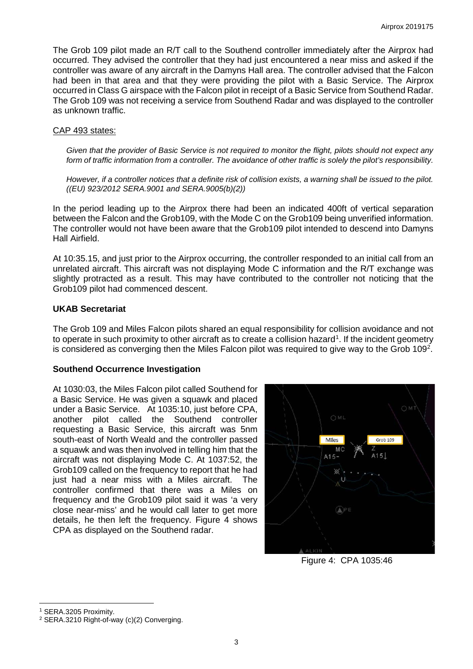The Grob 109 pilot made an R/T call to the Southend controller immediately after the Airprox had occurred. They advised the controller that they had just encountered a near miss and asked if the controller was aware of any aircraft in the Damyns Hall area. The controller advised that the Falcon had been in that area and that they were providing the pilot with a Basic Service. The Airprox occurred in Class G airspace with the Falcon pilot in receipt of a Basic Service from Southend Radar. The Grob 109 was not receiving a service from Southend Radar and was displayed to the controller as unknown traffic.

#### CAP 493 states:

*Given that the provider of Basic Service is not required to monitor the flight, pilots should not expect any form of traffic information from a controller. The avoidance of other traffic is solely the pilot's responsibility.* 

*However, if a controller notices that a definite risk of collision exists, a warning shall be issued to the pilot. ((EU) 923/2012 SERA.9001 and SERA.9005(b)(2))*

In the period leading up to the Airprox there had been an indicated 400ft of vertical separation between the Falcon and the Grob109, with the Mode C on the Grob109 being unverified information. The controller would not have been aware that the Grob109 pilot intended to descend into Damyns Hall Airfield.

At 10:35.15, and just prior to the Airprox occurring, the controller responded to an initial call from an unrelated aircraft. This aircraft was not displaying Mode C information and the R/T exchange was slightly protracted as a result. This may have contributed to the controller not noticing that the Grob109 pilot had commenced descent.

#### **UKAB Secretariat**

The Grob 109 and Miles Falcon pilots shared an equal responsibility for collision avoidance and not to operate in such proximity to other aircraft as to create a collision hazard<sup>[1](#page-2-0)</sup>. If the incident geometry is considered as converging then the Miles Falcon pilot was required to give way to the Grob 109<sup>[2](#page-2-1)</sup>.

#### **Southend Occurrence Investigation**

At 1030:03, the Miles Falcon pilot called Southend for a Basic Service. He was given a squawk and placed under a Basic Service. At 1035:10, just before CPA, another pilot called the Southend controller requesting a Basic Service, this aircraft was 5nm south-east of North Weald and the controller passed a squawk and was then involved in telling him that the aircraft was not displaying Mode C. At 1037:52, the Grob109 called on the frequency to report that he had just had a near miss with a Miles aircraft. The controller confirmed that there was a Miles on frequency and the Grob109 pilot said it was 'a very close near-miss' and he would call later to get more details, he then left the frequency. Figure 4 shows CPA as displayed on the Southend radar.



Figure 4: CPA 1035:46

<span id="page-2-0"></span><sup>1</sup> SERA.3205 Proximity.

 $\overline{\phantom{a}}$ 

<span id="page-2-1"></span> $2$  SERA.3210 Right-of-way (c)(2) Converging.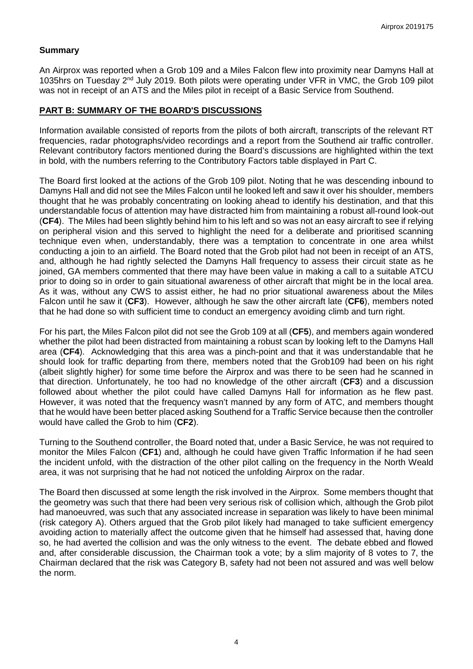### **Summary**

An Airprox was reported when a Grob 109 and a Miles Falcon flew into proximity near Damyns Hall at 1035hrs on Tuesday 2nd July 2019. Both pilots were operating under VFR in VMC, the Grob 109 pilot was not in receipt of an ATS and the Miles pilot in receipt of a Basic Service from Southend.

# **PART B: SUMMARY OF THE BOARD'S DISCUSSIONS**

Information available consisted of reports from the pilots of both aircraft, transcripts of the relevant RT frequencies, radar photographs/video recordings and a report from the Southend air traffic controller. Relevant contributory factors mentioned during the Board's discussions are highlighted within the text in bold, with the numbers referring to the Contributory Factors table displayed in Part C.

The Board first looked at the actions of the Grob 109 pilot. Noting that he was descending inbound to Damyns Hall and did not see the Miles Falcon until he looked left and saw it over his shoulder, members thought that he was probably concentrating on looking ahead to identify his destination, and that this understandable focus of attention may have distracted him from maintaining a robust all-round look-out (**CF4**). The Miles had been slightly behind him to his left and so was not an easy aircraft to see if relying on peripheral vision and this served to highlight the need for a deliberate and prioritised scanning technique even when, understandably, there was a temptation to concentrate in one area whilst conducting a join to an airfield. The Board noted that the Grob pilot had not been in receipt of an ATS, and, although he had rightly selected the Damyns Hall frequency to assess their circuit state as he joined, GA members commented that there may have been value in making a call to a suitable ATCU prior to doing so in order to gain situational awareness of other aircraft that might be in the local area. As it was, without any CWS to assist either, he had no prior situational awareness about the Miles Falcon until he saw it (**CF3**). However, although he saw the other aircraft late (**CF6**), members noted that he had done so with sufficient time to conduct an emergency avoiding climb and turn right.

For his part, the Miles Falcon pilot did not see the Grob 109 at all (**CF5**), and members again wondered whether the pilot had been distracted from maintaining a robust scan by looking left to the Damyns Hall area (**CF4**). Acknowledging that this area was a pinch-point and that it was understandable that he should look for traffic departing from there, members noted that the Grob109 had been on his right (albeit slightly higher) for some time before the Airprox and was there to be seen had he scanned in that direction. Unfortunately, he too had no knowledge of the other aircraft (**CF3**) and a discussion followed about whether the pilot could have called Damyns Hall for information as he flew past. However, it was noted that the frequency wasn't manned by any form of ATC, and members thought that he would have been better placed asking Southend for a Traffic Service because then the controller would have called the Grob to him (**CF2**).

Turning to the Southend controller, the Board noted that, under a Basic Service, he was not required to monitor the Miles Falcon (**CF1**) and, although he could have given Traffic Information if he had seen the incident unfold, with the distraction of the other pilot calling on the frequency in the North Weald area, it was not surprising that he had not noticed the unfolding Airprox on the radar.

The Board then discussed at some length the risk involved in the Airprox. Some members thought that the geometry was such that there had been very serious risk of collision which, although the Grob pilot had manoeuvred, was such that any associated increase in separation was likely to have been minimal (risk category A). Others argued that the Grob pilot likely had managed to take sufficient emergency avoiding action to materially affect the outcome given that he himself had assessed that, having done so, he had averted the collision and was the only witness to the event. The debate ebbed and flowed and, after considerable discussion, the Chairman took a vote; by a slim majority of 8 votes to 7, the Chairman declared that the risk was Category B, safety had not been not assured and was well below the norm.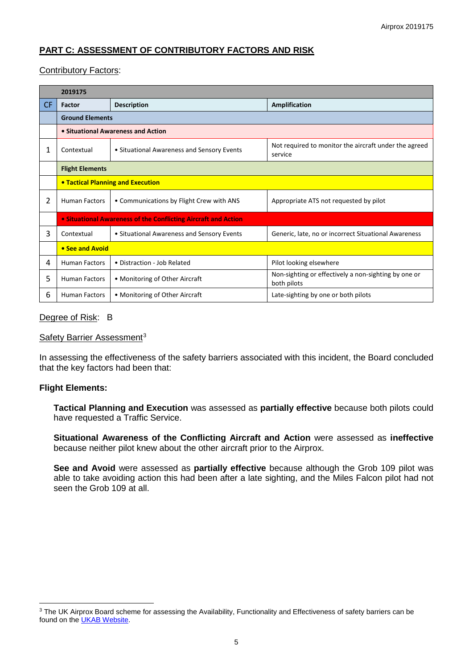# **PART C: ASSESSMENT OF CONTRIBUTORY FACTORS AND RISK**

### Contributory Factors:

|           | 2019175                                                        |                                            |                                                                     |  |  |  |  |
|-----------|----------------------------------------------------------------|--------------------------------------------|---------------------------------------------------------------------|--|--|--|--|
| <b>CF</b> | Factor                                                         | <b>Description</b>                         | Amplification                                                       |  |  |  |  |
|           | <b>Ground Elements</b>                                         |                                            |                                                                     |  |  |  |  |
|           | • Situational Awareness and Action                             |                                            |                                                                     |  |  |  |  |
| 1         | Contextual                                                     | • Situational Awareness and Sensory Events | Not required to monitor the aircraft under the agreed<br>service    |  |  |  |  |
|           | <b>Flight Elements</b>                                         |                                            |                                                                     |  |  |  |  |
|           | <b>• Tactical Planning and Execution</b>                       |                                            |                                                                     |  |  |  |  |
| 2         | <b>Human Factors</b>                                           | • Communications by Flight Crew with ANS   | Appropriate ATS not requested by pilot                              |  |  |  |  |
|           | • Situational Awareness of the Conflicting Aircraft and Action |                                            |                                                                     |  |  |  |  |
| 3         | Contextual                                                     | • Situational Awareness and Sensory Events | Generic, late, no or incorrect Situational Awareness                |  |  |  |  |
|           | • See and Avoid                                                |                                            |                                                                     |  |  |  |  |
| 4         | <b>Human Factors</b>                                           | • Distraction - Job Related                | Pilot looking elsewhere                                             |  |  |  |  |
| 5.        | <b>Human Factors</b>                                           | • Monitoring of Other Aircraft             | Non-sighting or effectively a non-sighting by one or<br>both pilots |  |  |  |  |
| 6         | <b>Human Factors</b>                                           | • Monitoring of Other Aircraft             | Late-sighting by one or both pilots                                 |  |  |  |  |

### Degree of Risk: B

#### Safety Barrier Assessment<sup>[3](#page-4-0)</sup>

In assessing the effectiveness of the safety barriers associated with this incident, the Board concluded that the key factors had been that:

#### **Flight Elements:**

 $\overline{\phantom{a}}$ 

**Tactical Planning and Execution** was assessed as **partially effective** because both pilots could have requested a Traffic Service.

**Situational Awareness of the Conflicting Aircraft and Action** were assessed as **ineffective** because neither pilot knew about the other aircraft prior to the Airprox.

**See and Avoid** were assessed as **partially effective** because although the Grob 109 pilot was able to take avoiding action this had been after a late sighting, and the Miles Falcon pilot had not seen the Grob 109 at all.

<span id="page-4-0"></span><sup>&</sup>lt;sup>3</sup> The UK Airprox Board scheme for assessing the Availability, Functionality and Effectiveness of safety barriers can be found on the **UKAB Website**.